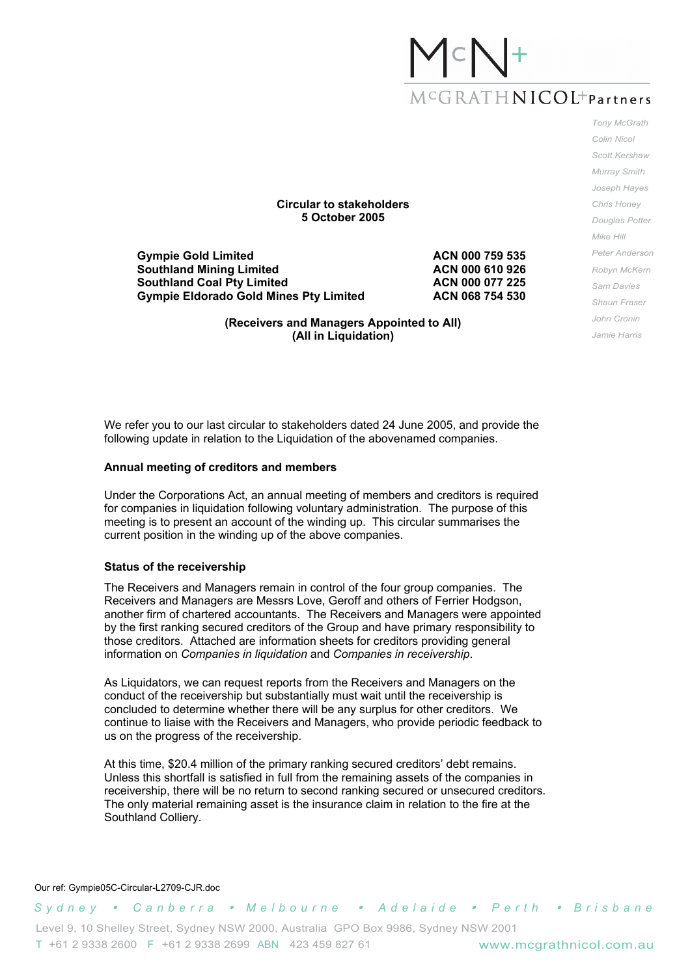# $M^cG$   $RATH$   $NICOL<sup>+</sup>$  Partners

**Circular to stakeholders 5 October 2005** 

**Gympie Gold Limited ACN 000 759 535 Southland Mining Limited ACN 000 610 926 Southland Coal Pty Limited ACN 000 077 225** Gympie Eldorado Gold Mines Pty Limited **ACN 068 754 530** 

**(Receivers and Managers Appointed to All) (All in Liquidation)** 

*Tony McGrath Colin Nicol Scott Kershaw Murray Smith Joseph Hayes Chris Honey Douglas Potter Mike Hill Peter Anderson Robyn McKern Sam Davies Shaun Fraser John Cronin Jamie Harris* 

We refer you to our last circular to stakeholders dated 24 June 2005, and provide the following update in relation to the Liquidation of the abovenamed companies.

#### **Annual meeting of creditors and members**

Under the Corporations Act, an annual meeting of members and creditors is required for companies in liquidation following voluntary administration. The purpose of this meeting is to present an account of the winding up. This circular summarises the current position in the winding up of the above companies.

#### **Status of the receivership**

The Receivers and Managers remain in control of the four group companies. The Receivers and Managers are Messrs Love, Geroff and others of Ferrier Hodgson, another firm of chartered accountants. The Receivers and Managers were appointed by the first ranking secured creditors of the Group and have primary responsibility to those creditors. Attached are information sheets for creditors providing general information on *Companies in liquidation* and *Companies in receivership*.

As Liquidators, we can request reports from the Receivers and Managers on the conduct of the receivership but substantially must wait until the receivership is concluded to determine whether there will be any surplus for other creditors. We continue to liaise with the Receivers and Managers, who provide periodic feedback to us on the progress of the receivership.

At this time, \$20.4 million of the primary ranking secured creditors' debt remains. Unless this shortfall is satisfied in full from the remaining assets of the companies in receivership, there will be no return to second ranking secured or unsecured creditors. The only material remaining asset is the insurance claim in relation to the fire at the Southland Colliery.

#### Our ref: Gympie05C-Circular-L2709-CJR.doc

*Sydney* y *C a n b e r r a* y *M e l b o u r n e* y *Adelaide* y *P e r t h* y *Brisbane* 

Level 9, 10 Shelley Street, Sydney NSW 2000, Australia GPO Box 9986, Sydney NSW 2001 T +61 2 9338 2600 F +61 2 9338 2699 ABN 423 459 827 61 www.mcgrathnicol.com.au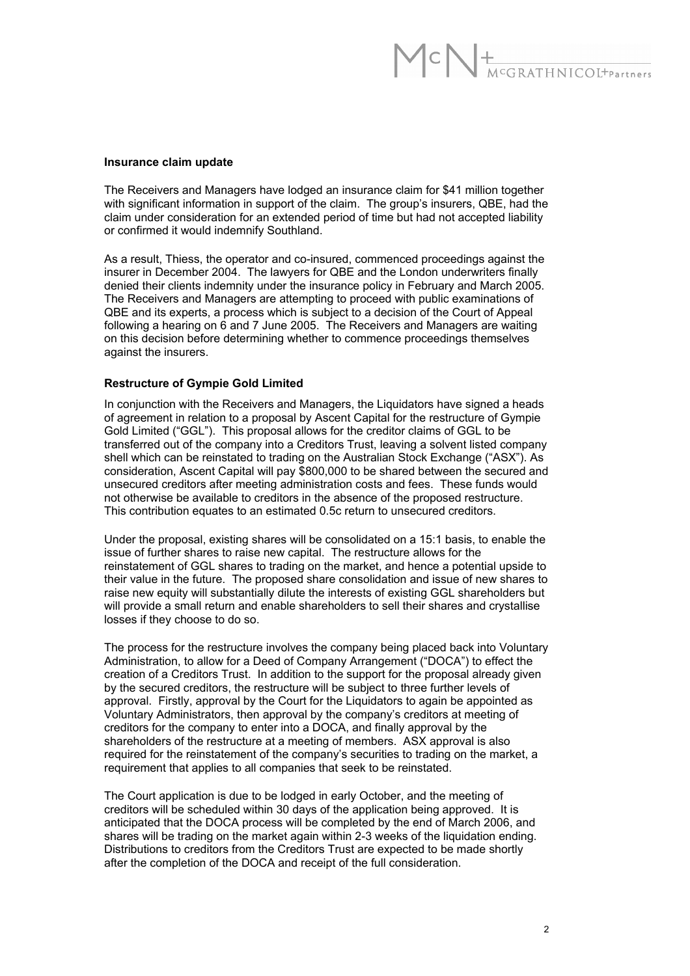# CN+<br>MCGRATHNICOL+Partners

#### **Insurance claim update**

The Receivers and Managers have lodged an insurance claim for \$41 million together with significant information in support of the claim. The group's insurers, QBE, had the claim under consideration for an extended period of time but had not accepted liability or confirmed it would indemnify Southland.

As a result, Thiess, the operator and co-insured, commenced proceedings against the insurer in December 2004. The lawyers for QBE and the London underwriters finally denied their clients indemnity under the insurance policy in February and March 2005. The Receivers and Managers are attempting to proceed with public examinations of QBE and its experts, a process which is subject to a decision of the Court of Appeal following a hearing on 6 and 7 June 2005. The Receivers and Managers are waiting on this decision before determining whether to commence proceedings themselves against the insurers.

#### **Restructure of Gympie Gold Limited**

In conjunction with the Receivers and Managers, the Liquidators have signed a heads of agreement in relation to a proposal by Ascent Capital for the restructure of Gympie Gold Limited ("GGL"). This proposal allows for the creditor claims of GGL to be transferred out of the company into a Creditors Trust, leaving a solvent listed company shell which can be reinstated to trading on the Australian Stock Exchange ("ASX"). As consideration, Ascent Capital will pay \$800,000 to be shared between the secured and unsecured creditors after meeting administration costs and fees. These funds would not otherwise be available to creditors in the absence of the proposed restructure. This contribution equates to an estimated 0.5c return to unsecured creditors.

Under the proposal, existing shares will be consolidated on a 15:1 basis, to enable the issue of further shares to raise new capital. The restructure allows for the reinstatement of GGL shares to trading on the market, and hence a potential upside to their value in the future. The proposed share consolidation and issue of new shares to raise new equity will substantially dilute the interests of existing GGL shareholders but will provide a small return and enable shareholders to sell their shares and crystallise losses if they choose to do so.

The process for the restructure involves the company being placed back into Voluntary Administration, to allow for a Deed of Company Arrangement ("DOCA") to effect the creation of a Creditors Trust. In addition to the support for the proposal already given by the secured creditors, the restructure will be subject to three further levels of approval. Firstly, approval by the Court for the Liquidators to again be appointed as Voluntary Administrators, then approval by the company's creditors at meeting of creditors for the company to enter into a DOCA, and finally approval by the shareholders of the restructure at a meeting of members. ASX approval is also required for the reinstatement of the company's securities to trading on the market, a requirement that applies to all companies that seek to be reinstated.

The Court application is due to be lodged in early October, and the meeting of creditors will be scheduled within 30 days of the application being approved. It is anticipated that the DOCA process will be completed by the end of March 2006, and shares will be trading on the market again within 2-3 weeks of the liquidation ending. Distributions to creditors from the Creditors Trust are expected to be made shortly after the completion of the DOCA and receipt of the full consideration.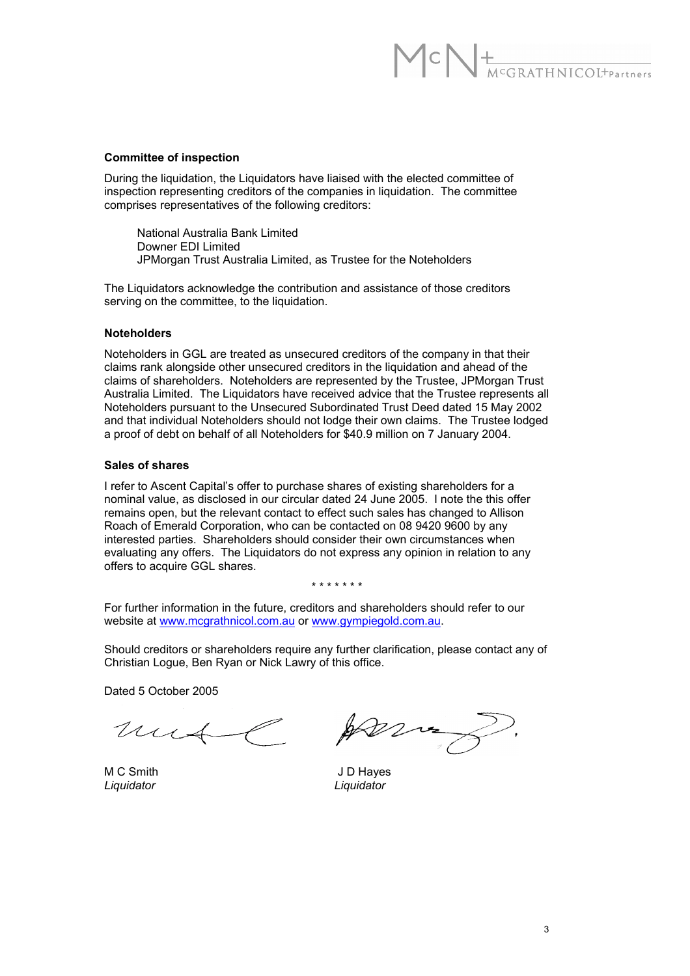## $\mathcal{C} \bigwedge \biguplus_{M^cGRATHNICOL^+ \text{Parameters}}$

#### **Committee of inspection**

During the liquidation, the Liquidators have liaised with the elected committee of inspection representing creditors of the companies in liquidation. The committee comprises representatives of the following creditors:

 National Australia Bank Limited Downer EDI Limited JPMorgan Trust Australia Limited, as Trustee for the Noteholders

The Liquidators acknowledge the contribution and assistance of those creditors serving on the committee, to the liquidation.

#### **Noteholders**

Noteholders in GGL are treated as unsecured creditors of the company in that their claims rank alongside other unsecured creditors in the liquidation and ahead of the claims of shareholders. Noteholders are represented by the Trustee, JPMorgan Trust Australia Limited. The Liquidators have received advice that the Trustee represents all Noteholders pursuant to the Unsecured Subordinated Trust Deed dated 15 May 2002 and that individual Noteholders should not lodge their own claims. The Trustee lodged a proof of debt on behalf of all Noteholders for \$40.9 million on 7 January 2004.

#### **Sales of shares**

I refer to Ascent Capital's offer to purchase shares of existing shareholders for a nominal value, as disclosed in our circular dated 24 June 2005. I note the this offer remains open, but the relevant contact to effect such sales has changed to Allison Roach of Emerald Corporation, who can be contacted on 08 9420 9600 by any interested parties. Shareholders should consider their own circumstances when evaluating any offers. The Liquidators do not express any opinion in relation to any offers to acquire GGL shares.

#### \* \* \* \* \* \* \*

For further information in the future, creditors and shareholders should refer to our website at www.mcgrathnicol.com.au or www.gympiegold.com.au.

Should creditors or shareholders require any further clarification, please contact any of Christian Logue, Ben Ryan or Nick Lawry of this office.

Dated 5 October 2005

mus

*Liquidator Liquidator*

M C Smith J D Hayes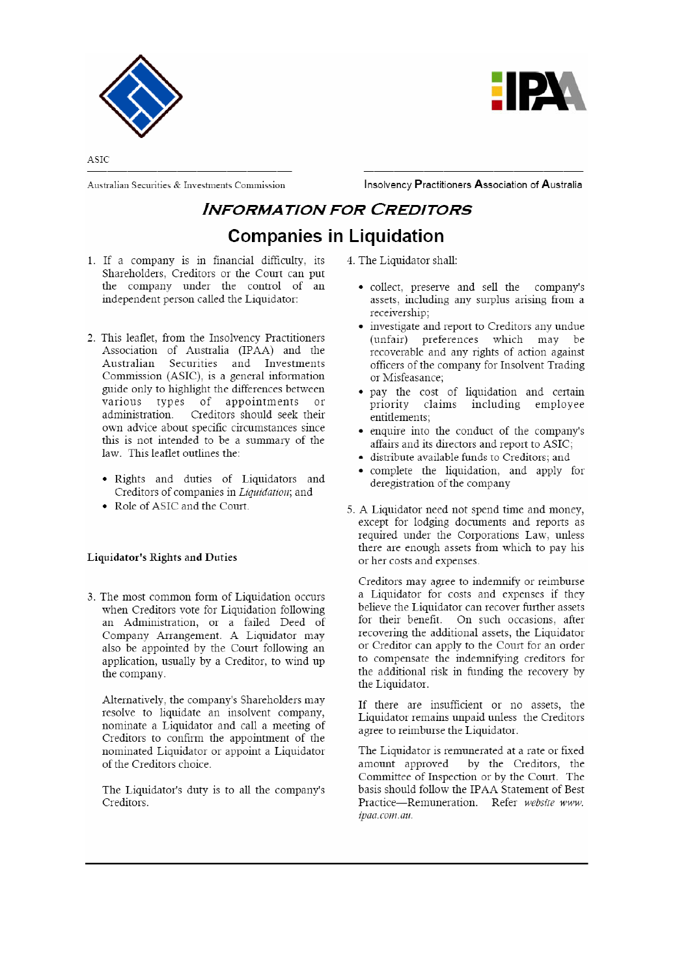



ASIC

Australian Securities & Investments Commission

Insolvency Practitioners Association of Australia

### **INFORMATION FOR CREDITORS Companies in Liquidation**

- 1. If a company is in financial difficulty, its Shareholders, Creditors or the Court can put the company under the control of an independent person called the Liquidator:
- 2. This leaflet, from the Insolvency Practitioners Association of Australia (IPAA) and the Australian Securities and Investments Commission (ASIC), is a general information guide only to highlight the differences between various types of appointments or administration. Creditors should seek their own advice about specific circumstances since this is not intended to be a summary of the law. This leaflet outlines the:
	- · Rights and duties of Liquidators and Creditors of companies in Liquidation; and
	- Role of ASIC and the Court.

#### Liquidator's Rights and Duties

3. The most common form of Liquidation occurs when Creditors vote for Liquidation following an Administration, or a failed Deed of Company Arrangement. A Liquidator may also be appointed by the Court following an application, usually by a Creditor, to wind up the company.

Alternatively, the company's Shareholders may resolve to liquidate an insolvent company, nominate a Liquidator and call a meeting of Creditors to confirm the appointment of the nominated Liquidator or appoint a Liquidator of the Creditors choice.

The Liquidator's duty is to all the company's Creditors.

4. The Liquidator shall:

- collect, preserve and sell the company's assets, including any surplus arising from a receivership:
- investigate and report to Creditors any undue (unfair) preferences which may be recoverable and any rights of action against officers of the company for Insolvent Trading or Misfeasance;
- · pay the cost of liquidation and certain priority claims including employee entitlements;
- enquire into the conduct of the company's affairs and its directors and report to ASIC;
- · distribute available funds to Creditors; and
- · complete the liquidation, and apply for deregistration of the company
- 5. A Liquidator need not spend time and money, except for lodging documents and reports as required under the Corporations Law, unless there are enough assets from which to pay his or her costs and expenses.

Creditors may agree to indemnify or reimburse a Liquidator for costs and expenses if they believe the Liquidator can recover further assets for their benefit. On such occasions, after recovering the additional assets, the Liquidator or Creditor can apply to the Court for an order to compensate the indemnifying creditors for the additional risk in funding the recovery by the Liquidator.

If there are insufficient or no assets, the Liquidator remains unpaid unless the Creditors agree to reimburse the Liquidator.

The Liquidator is remunerated at a rate or fixed by the Creditors, the amount approved Committee of Inspection or by the Court. The basis should follow the IPAA Statement of Best Practice-Remuneration. Refer website www. ipaa.com.au.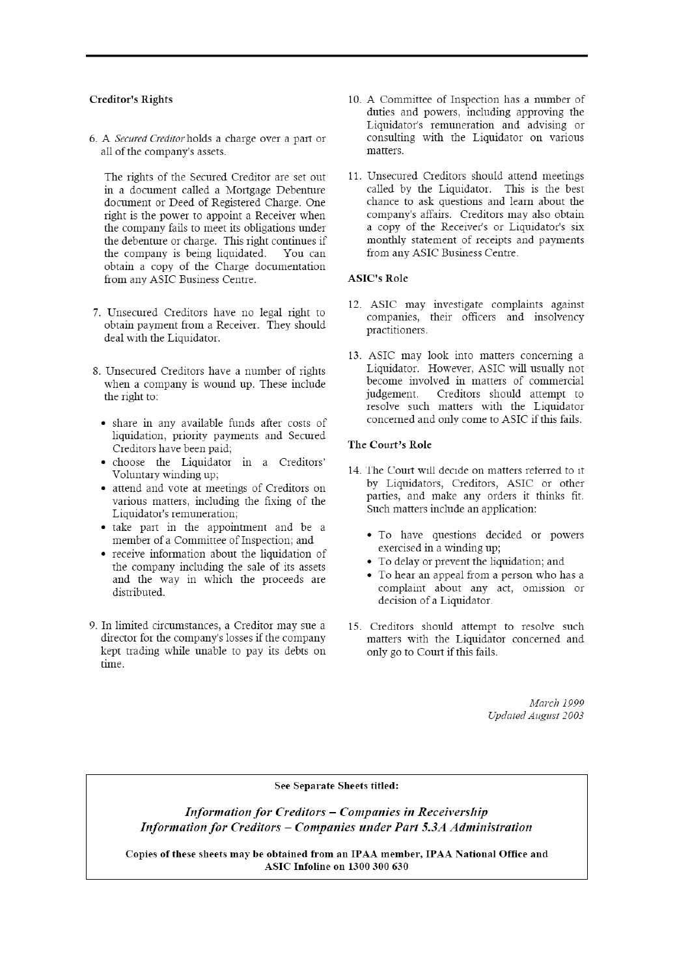#### **Creditor's Rights**

6. A Secured Creditor holds a charge over a part or all of the company's assets.

The rights of the Secured Creditor are set out in a document called a Mortgage Debenture document or Deed of Registered Charge. One right is the power to appoint a Receiver when the company fails to meet its obligations under the debenture or charge. This right continues if the company is being liquidated. You can obtain a copy of the Charge documentation from any ASIC Business Centre.

- 7. Unsecured Creditors have no legal right to obtain payment from a Receiver. They should deal with the Liquidator.
- 8. Unsecured Creditors have a number of rights when a company is wound up. These include the right to:
	- share in any available funds after costs of liquidation, priority payments and Secured Creditors have been paid;
	- · choose the Liquidator in a Creditors' Voluntary winding up;
	- attend and vote at meetings of Creditors on various matters, including the fixing of the Liquidator's remuneration;
	- take part in the appointment and be a member of a Committee of Inspection; and
	- receive information about the liquidation of the company including the sale of its assets and the way in which the proceeds are distributed.
- 9. In limited circumstances, a Creditor may sue a director for the company's losses if the company kept trading while unable to pay its debts on time.
- 10. A Committee of Inspection has a number of duties and powers, including approving the Liquidator's remuneration and advising or consulting with the Liquidator on various matters
- 11. Unsecured Creditors should attend meetings called by the Liquidator. This is the best chance to ask questions and learn about the company's affairs. Creditors may also obtain a copy of the Receiver's or Liquidator's six monthly statement of receipts and payments from any ASIC Business Centre.

#### **ASIC's Role**

- 12. ASIC may investigate complaints against companies, their officers and insolvency practitioners.
- 13. ASIC may look into matters concerning a Liquidator. However, ASIC will usually not become involved in matters of commercial judgement. Creditors should attempt to resolve such matters with the Liquidator concerned and only come to ASIC if this fails.

#### The Court's Role

- 14. The Court will decide on matters referred to it by Liquidators, Creditors, ASIC or other parties, and make any orders it thinks fit. Such matters include an application:
	- · To have questions decided or powers exercised in a winding up;
	- To delay or prevent the liquidation; and
	- To hear an appeal from a person who has a complaint about any act, omission or decision of a Liquidator.
- 15. Creditors should attempt to resolve such matters with the Liquidator concerned and only go to Court if this fails.

March 1999 Updated August 2003

#### See Separate Sheets titled:

**Information for Creditors - Companies in Receivership** Information for Creditors - Companies under Part 5.3A Administration

Copies of these sheets may be obtained from an IPAA member, IPAA National Office and **ASIC Infoline on 1300 300 630**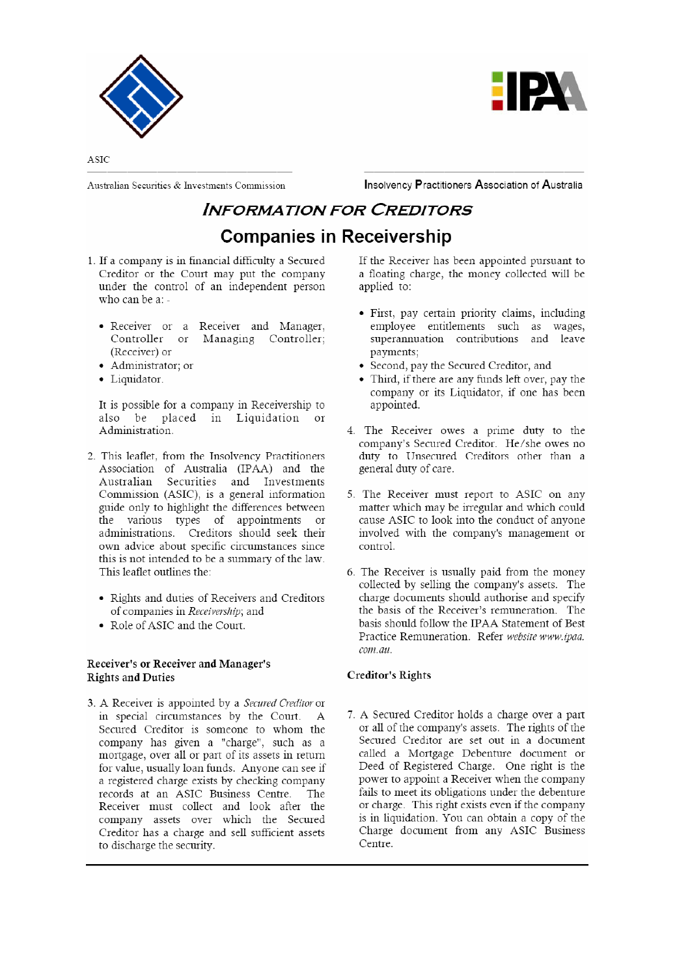



ASIC

Australian Securities & Investments Commission

Insolvency Practitioners Association of Australia

### **INFORMATION FOR CREDITORS Companies in Receivership**

- 1. If a company is in financial difficulty a Secured Creditor or the Court may put the company under the control of an independent person who can be a: -
	- · Receiver or a Receiver and Manager, Controller or Managing Controller; (Receiver) or
	- Administrator: or
	- · Liquidator.

It is possible for a company in Receivership to also be placed in Liquidation or Administration.

- 2. This leaflet, from the Insolvency Practitioners Association of Australia (IPAA) and the Australian Securities and Investments Commission (ASIC), is a general information guide only to highlight the differences between the various types of appointments or administrations. Creditors should seek their own advice about specific circumstances since this is not intended to be a summary of the law. This leaflet outlines the:
	- Rights and duties of Receivers and Creditors of companies in Receivership; and
	- Role of ASIC and the Court.

#### Receiver's or Receiver and Manager's **Rights and Duties**

3. A Receiver is appointed by a Secured Creditor or in special circumstances by the Court. A Secured Creditor is someone to whom the company has given a "charge", such as a mortgage, over all or part of its assets in return for value, usually loan funds. Anyone can see if a registered charge exists by checking company records at an ASIC Business Centre. The Receiver must collect and look after the company assets over which the Secured Creditor has a charge and sell sufficient assets to discharge the security.

If the Receiver has been appointed pursuant to a floating charge, the money collected will be applied to:

- First, pay certain priority claims, including employee entitlements such as wages,<br>superannuation contributions and leave payments:
- Second, pay the Secured Creditor, and
- Third, if there are any funds left over, pay the company or its Liquidator, if one has been appointed.
- 4. The Receiver owes a prime duty to the company's Secured Creditor. He/she owes no duty to Unsecured Creditors other than a general duty of care.
- 5. The Receiver must report to ASIC on any matter which may be irregular and which could cause ASIC to look into the conduct of anyone involved with the company's management or control.
- 6. The Receiver is usually paid from the money collected by selling the company's assets. The charge documents should authorise and specify the basis of the Receiver's remuneration. The basis should follow the IPAA Statement of Best Practice Remuneration. Refer website www.ipaa. com.au.

#### **Creditor's Rights**

7. A Secured Creditor holds a charge over a part or all of the company's assets. The rights of the Secured Creditor are set out in a document called a Mortgage Debenture document or Deed of Registered Charge. One right is the power to appoint a Receiver when the company fails to meet its obligations under the debenture or charge. This right exists even if the company is in liquidation. You can obtain a copy of the Charge document from any ASIC Business Centre